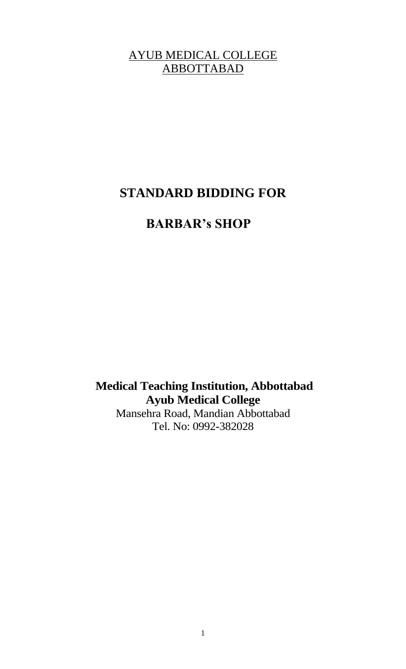### AYUB MEDICAL COLLEGE ABBOTTABAD

# **STANDARD BIDDING FOR**

# **BARBAR's SHOP**

**Medical Teaching Institution, Abbottabad Ayub Medical College** Mansehra Road, Mandian Abbottabad Tel. No: 0992-382028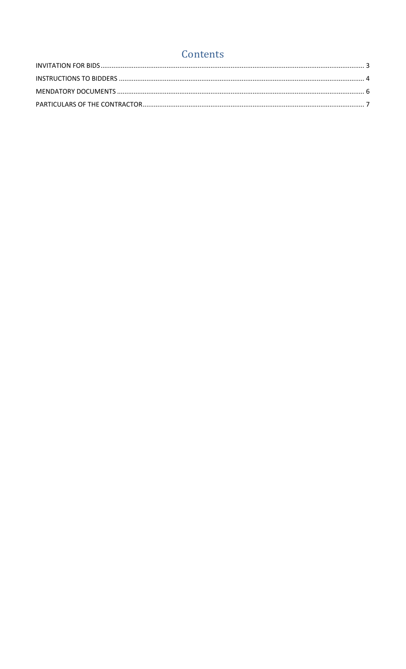## Contents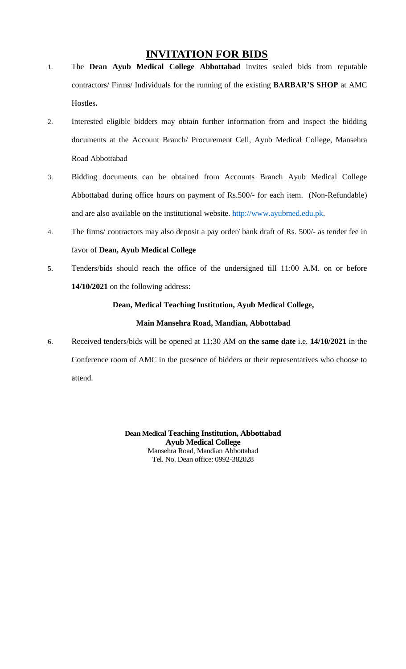#### **INVITATION FOR BIDS**

- <span id="page-2-0"></span>1. The **Dean Ayub Medical College Abbottabad** invites sealed bids from reputable contractors/ Firms/ Individuals for the running of the existing **BARBAR'S SHOP** at AMC Hostles**.**
- 2. Interested eligible bidders may obtain further information from and inspect the bidding documents at the Account Branch/ Procurement Cell, Ayub Medical College, Mansehra Road Abbottabad
- 3. Bidding documents can be obtained from Accounts Branch Ayub Medical College Abbottabad during office hours on payment of Rs.500/- for each item. (Non-Refundable) and are also available on the institutional website. [http://www.ayubmed.edu.pk.](http://www.ayubmed.edu.pk/)
- 4. The firms/ contractors may also deposit a pay order/ bank draft of Rs. 500/- as tender fee in favor of **Dean, Ayub Medical College**
- 5. Tenders/bids should reach the office of the undersigned till 11:00 A.M. on or before **14/10/2021** on the following address:

#### **Dean, Medical Teaching Institution, Ayub Medical College,**

#### **Main Mansehra Road, Mandian, Abbottabad**

6. Received tenders/bids will be opened at 11:30 AM on **the same date** i.e. **14/10/2021** in the Conference room of AMC in the presence of bidders or their representatives who choose to attend.

> **Dean Medical Teaching Institution, Abbottabad Ayub Medical College** Mansehra Road, Mandian Abbottabad Tel. No. Dean office: 0992-382028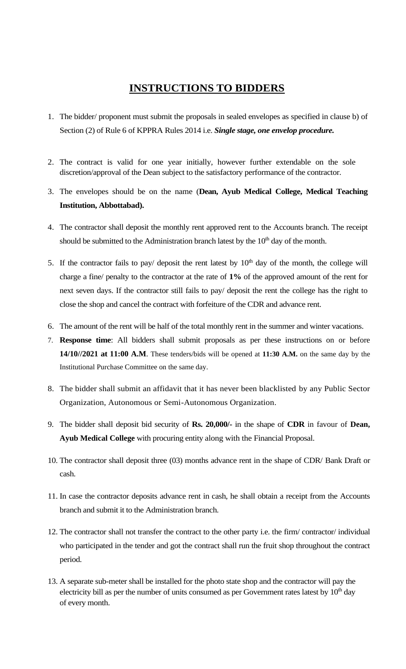### **INSTRUCTIONS TO BIDDERS**

- <span id="page-3-0"></span>1. The bidder/ proponent must submit the proposals in sealed envelopes as specified in clause b) of Section (2) of Rule 6 of KPPRA Rules 2014 i.e. *Single stage, one envelop procedure.*
- 2. The contract is valid for one year initially, however further extendable on the sole discretion/approval of the Dean subject to the satisfactory performance of the contractor.
- 3. The envelopes should be on the name (**Dean, Ayub Medical College, Medical Teaching Institution, Abbottabad).**
- 4. The contractor shall deposit the monthly rent approved rent to the Accounts branch. The receipt should be submitted to the Administration branch latest by the  $10<sup>th</sup>$  day of the month.
- 5. If the contractor fails to pay/ deposit the rent latest by  $10<sup>th</sup>$  day of the month, the college will charge a fine/ penalty to the contractor at the rate of **1%** of the approved amount of the rent for next seven days. If the contractor still fails to pay/ deposit the rent the college has the right to close the shop and cancel the contract with forfeiture of the CDR and advance rent.
- 6. The amount of the rent will be half of the total monthly rent in the summer and winter vacations.
- 7. **Response time**: All bidders shall submit proposals as per these instructions on or before **14/10//2021 at 11:00 A.M**. These tenders/bids will be opened at **11:30 A.M.** on the same day by the Institutional Purchase Committee on the same day.
- 8. The bidder shall submit an affidavit that it has never been blacklisted by any Public Sector Organization, Autonomous or Semi-Autonomous Organization.
- 9. The bidder shall deposit bid security of **Rs. 20,000/-** in the shape of **CDR** in favour of **Dean, Ayub Medical College** with procuring entity along with the Financial Proposal.
- 10. The contractor shall deposit three (03) months advance rent in the shape of CDR/ Bank Draft or cash.
- 11. In case the contractor deposits advance rent in cash, he shall obtain a receipt from the Accounts branch and submit it to the Administration branch.
- 12. The contractor shall not transfer the contract to the other party i.e. the firm/ contractor/ individual who participated in the tender and got the contract shall run the fruit shop throughout the contract period.
- 13. A separate sub-meter shall be installed for the photo state shop and the contractor will pay the electricity bill as per the number of units consumed as per Government rates latest by  $10<sup>th</sup>$  day of every month.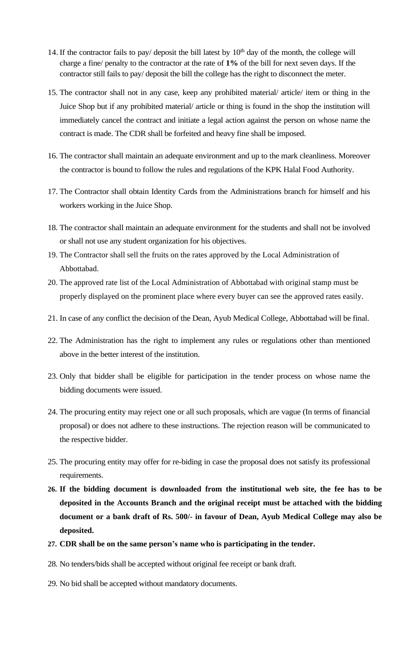- 14. If the contractor fails to pay/ deposit the bill latest by  $10<sup>th</sup>$  day of the month, the college will charge a fine/ penalty to the contractor at the rate of **1%** of the bill for next seven days. If the contractor still fails to pay/ deposit the bill the college has the right to disconnect the meter.
- 15. The contractor shall not in any case, keep any prohibited material/ article/ item or thing in the Juice Shop but if any prohibited material/ article or thing is found in the shop the institution will immediately cancel the contract and initiate a legal action against the person on whose name the contract is made. The CDR shall be forfeited and heavy fine shall be imposed.
- 16. The contractor shall maintain an adequate environment and up to the mark cleanliness. Moreover the contractor is bound to follow the rules and regulations of the KPK Halal Food Authority.
- 17. The Contractor shall obtain Identity Cards from the Administrations branch for himself and his workers working in the Juice Shop.
- 18. The contractor shall maintain an adequate environment for the students and shall not be involved or shall not use any student organization for his objectives.
- 19. The Contractor shall sell the fruits on the rates approved by the Local Administration of Abbottabad.
- 20. The approved rate list of the Local Administration of Abbottabad with original stamp must be properly displayed on the prominent place where every buyer can see the approved rates easily.
- 21. In case of any conflict the decision of the Dean, Ayub Medical College, Abbottabad will be final.
- 22. The Administration has the right to implement any rules or regulations other than mentioned above in the better interest of the institution.
- 23. Only that bidder shall be eligible for participation in the tender process on whose name the bidding documents were issued.
- 24. The procuring entity may reject one or all such proposals, which are vague (In terms of financial proposal) or does not adhere to these instructions. The rejection reason will be communicated to the respective bidder.
- 25. The procuring entity may offer for re-biding in case the proposal does not satisfy its professional requirements.
- **26. If the bidding document is downloaded from the institutional web site, the fee has to be deposited in the Accounts Branch and the original receipt must be attached with the bidding document or a bank draft of Rs. 500/- in favour of Dean, Ayub Medical College may also be deposited.**
- **27. CDR shall be on the same person's name who is participating in the tender.**
- 28. No tenders/bids shall be accepted without original fee receipt or bank draft.
- 29. No bid shall be accepted without mandatory documents.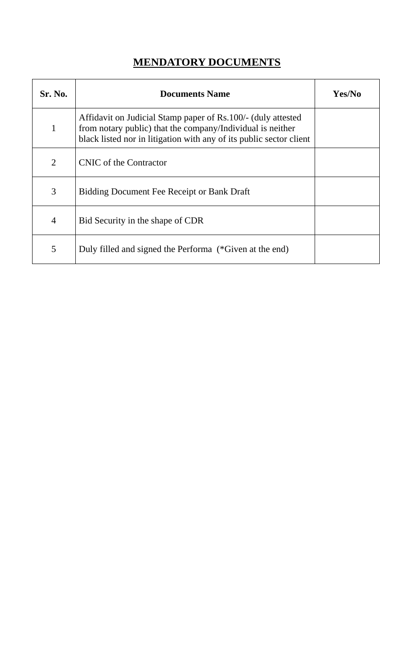### **MENDATORY DOCUMENTS**

<span id="page-5-0"></span>

| <b>Sr. No.</b> | <b>Documents Name</b>                                                                                                                                                                             | Yes/No |
|----------------|---------------------------------------------------------------------------------------------------------------------------------------------------------------------------------------------------|--------|
| 1              | Affidavit on Judicial Stamp paper of Rs.100/- (duly attested<br>from notary public) that the company/Individual is neither<br>black listed nor in litigation with any of its public sector client |        |
| 2              | CNIC of the Contractor                                                                                                                                                                            |        |
| 3              | <b>Bidding Document Fee Receipt or Bank Draft</b>                                                                                                                                                 |        |
| $\overline{4}$ | Bid Security in the shape of CDR                                                                                                                                                                  |        |
| 5              | Duly filled and signed the Performa (*Given at the end)                                                                                                                                           |        |